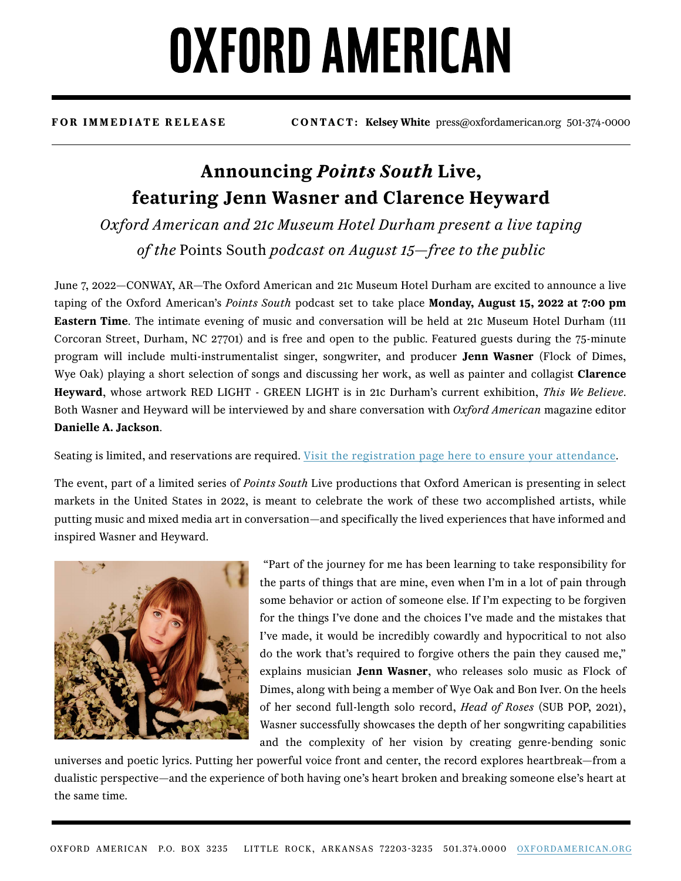## **OXFORD AMERICAN**

**FOR IMMEDIATE RELEASE CONTACT: Kelsey White** press@oxfordamerican.org 501-374-0000

### **Announcing** *Points South* **Live, featuring Jenn Wasner and Clarence Heyward**

*Oxford American and 21c Museum Hotel Durham present a live taping of the* Points South *podcast on August 15—free to the public*

June 7, 2022—CONWAY, AR—The Oxford American and 21c Museum Hotel Durham are excited to announce a live taping of the Oxford American's *Points South* podcast set to take place **Monday, August 15, 2022 at 7:00 pm Eastern Time**. The intimate evening of music and conversation will be held at 21c Museum Hotel Durham (111 Corcoran Street, Durham, NC 27701) and is free and open to the public. Featured guests during the 75-minute program will include multi-instrumentalist singer, songwriter, and producer **Jenn Wasner** (Flock of Dimes, Wye Oak) playing a short selection of songs and discussing her work, as well as painter and collagist **Clarence Heyward**, whose artwork RED LIGHT - GREEN LIGHT is in 21c Durham's current exhibition, *This We Believe*. Both Wasner and Heyward will be interviewed by and share conversation with *Oxford American* magazine editor **Danielle A. Jackson**.

Seating is limited, and reservations are required. [Visit the registration page here to ensure your attendance.](https://www.eventbrite.com/e/points-south-live-durham-tickets-350477436447)

The event, part of a limited series of *Points South* Live productions that Oxford American is presenting in select markets in the United States in 2022, is meant to celebrate the work of these two accomplished artists, while putting music and mixed media art in conversation—and specifically the lived experiences that have informed and inspired Wasner and Heyward.



 "Part of the journey for me has been learning to take responsibility for the parts of things that are mine, even when I'm in a lot of pain through some behavior or action of someone else. If I'm expecting to be forgiven for the things I've done and the choices I've made and the mistakes that I've made, it would be incredibly cowardly and hypocritical to not also do the work that's required to forgive others the pain they caused me," explains musician **Jenn Wasner**, who releases solo music as Flock of Dimes, along with being a member of Wye Oak and Bon Iver. On the heels of her second full-length solo record, *Head of Roses* (SUB POP, 2021), Wasner successfully showcases the depth of her songwriting capabilities and the complexity of her vision by creating genre-bending sonic

universes and poetic lyrics. Putting her powerful voice front and center, the record explores heartbreak—from a dualistic perspective—and the experience of both having one's heart broken and breaking someone else's heart at the same time.